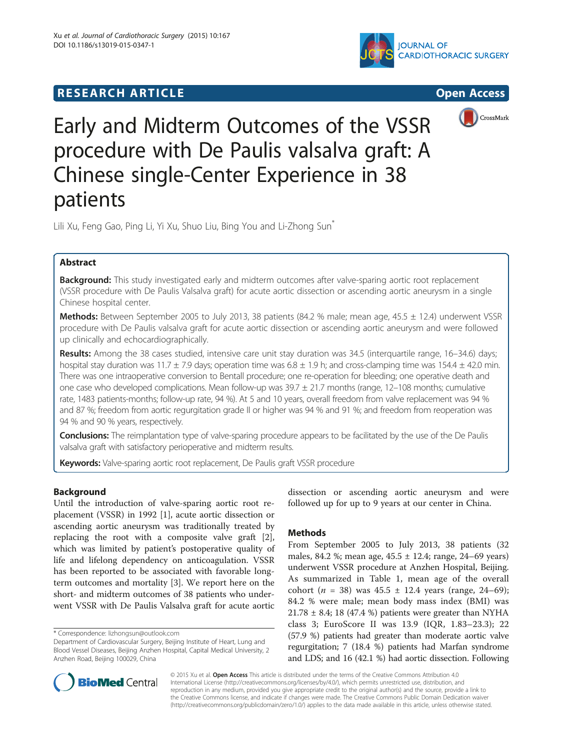# **RESEARCH ARTICLE Example 2014 CONSIDERING CONSIDERING CONSIDERING CONSIDERING CONSIDERING CONSIDERING CONSIDERING CONSIDERING CONSIDERING CONSIDERING CONSIDERING CONSIDERING CONSIDERING CONSIDERING CONSIDERING CONSIDE**







Early and Midterm Outcomes of the VSSR procedure with De Paulis valsalva graft: A Chinese single-Center Experience in 38 patients

Lili Xu, Feng Gao, Ping Li, Yi Xu, Shuo Liu, Bing You and Li-Zhong Sun<sup>\*</sup>

## Abstract

Background: This study investigated early and midterm outcomes after valve-sparing aortic root replacement (VSSR procedure with De Paulis Valsalva graft) for acute aortic dissection or ascending aortic aneurysm in a single Chinese hospital center.

Methods: Between September 2005 to July 2013, 38 patients (84.2 % male; mean age, 45.5 ± 12.4) underwent VSSR procedure with De Paulis valsalva graft for acute aortic dissection or ascending aortic aneurysm and were followed up clinically and echocardiographically.

Results: Among the 38 cases studied, intensive care unit stay duration was 34.5 (interquartile range, 16-34.6) days; hospital stay duration was 11.7  $\pm$  7.9 days; operation time was 6.8  $\pm$  1.9 h; and cross-clamping time was 154.4  $\pm$  42.0 min. There was one intraoperative conversion to Bentall procedure; one re-operation for bleeding; one operative death and one case who developed complications. Mean follow-up was  $39.7 \pm 21.7$  months (range,  $12-108$  months; cumulative rate, 1483 patients-months; follow-up rate, 94 %). At 5 and 10 years, overall freedom from valve replacement was 94 % and 87 %; freedom from aortic regurgitation grade II or higher was 94 % and 91 %; and freedom from reoperation was 94 % and 90 % years, respectively.

Conclusions: The reimplantation type of valve-sparing procedure appears to be facilitated by the use of the De Paulis valsalva graft with satisfactory perioperative and midterm results.

Keywords: Valve-sparing aortic root replacement, De Paulis graft VSSR procedure

## Background

Until the introduction of valve-sparing aortic root replacement (VSSR) in 1992 [[1](#page-4-0)], acute aortic dissection or ascending aortic aneurysm was traditionally treated by replacing the root with a composite valve graft [\[2](#page-4-0)], which was limited by patient's postoperative quality of life and lifelong dependency on anticoagulation. VSSR has been reported to be associated with favorable longterm outcomes and mortality [[3\]](#page-4-0). We report here on the short- and midterm outcomes of 38 patients who underwent VSSR with De Paulis Valsalva graft for acute aortic

dissection or ascending aortic aneurysm and were followed up for up to 9 years at our center in China.

## Methods

From September 2005 to July 2013, 38 patients (32 males, 84.2 %; mean age, 45.5 ± 12.4; range, 24–69 years) underwent VSSR procedure at Anzhen Hospital, Beijing. As summarized in Table [1,](#page-1-0) mean age of the overall cohort ( $n = 38$ ) was  $45.5 \pm 12.4$  years (range, 24–69); 84.2 % were male; mean body mass index (BMI) was  $21.78 \pm 8.4$ ; 18 (47.4 %) patients were greater than NYHA class 3; EuroScore II was 13.9 (IQR, 1.83–23.3); 22 (57.9 %) patients had greater than moderate aortic valve regurgitation; 7 (18.4 %) patients had Marfan syndrome and LDS; and 16 (42.1 %) had aortic dissection. Following



© 2015 Xu et al. Open Access This article is distributed under the terms of the Creative Commons Attribution 4.0 International License [\(http://creativecommons.org/licenses/by/4.0/](http://creativecommons.org/licenses/by/4.0/)), which permits unrestricted use, distribution, and reproduction in any medium, provided you give appropriate credit to the original author(s) and the source, provide a link to the Creative Commons license, and indicate if changes were made. The Creative Commons Public Domain Dedication waiver [\(http://creativecommons.org/publicdomain/zero/1.0/](http://creativecommons.org/publicdomain/zero/1.0/)) applies to the data made available in this article, unless otherwise stated.

<sup>\*</sup> Correspondence: [lizhongsun@outlook.com](mailto:lizhongsun@outlook.com)

Department of Cardiovascular Surgery, Beijing Institute of Heart, Lung and Blood Vessel Diseases, Beijing Anzhen Hospital, Capital Medical University, 2 Anzhen Road, Beijing 100029, China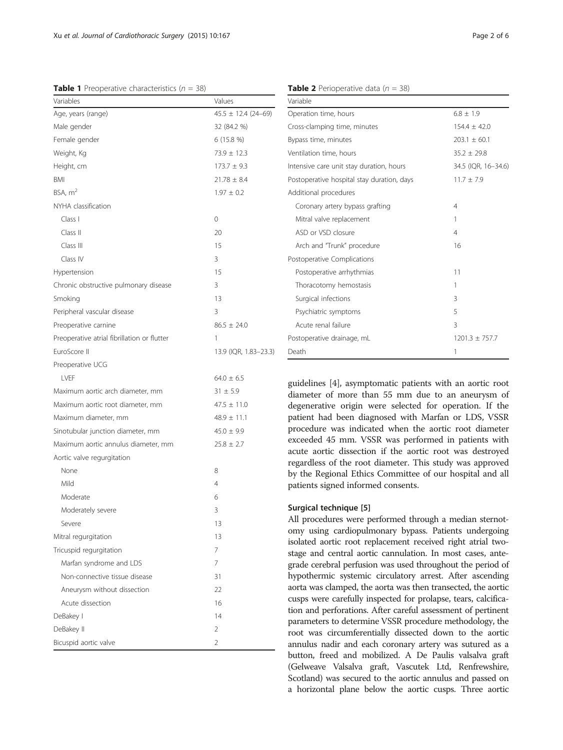Variables Values

Class I 0 Class II 20 Class III 15 Class IV 3

Age, years (range) 45.5 ± 12.4 (24–69) Male gender 32 (84.2 %) Female gender 6 (15.8 %) Weight, Kg  $73.9 \pm 12.3$ Height, cm  $173.7 \pm 9.3$  $BMI$  21.78  $\pm$  8.4 BSA,  $m^2$  1.97  $\pm$  0.2

<span id="page-1-0"></span>**Table 1** Preoperative characteristics ( $n = 38$ )

NYHA classification

| Variable                                   |                     |  |  |
|--------------------------------------------|---------------------|--|--|
| Operation time, hours                      | $6.8 \pm 1.9$       |  |  |
| Cross-clamping time, minutes               | $154.4 + 42.0$      |  |  |
| Bypass time, minutes                       | $203.1 \pm 60.1$    |  |  |
| Ventilation time, hours                    | $35.2 \pm 29.8$     |  |  |
| Intensive care unit stay duration, hours   | 34.5 (IQR, 16-34.6) |  |  |
| Postoperative hospital stay duration, days | $11.7 + 7.9$        |  |  |
| Additional procedures                      |                     |  |  |
| Coronary artery bypass grafting            | 4                   |  |  |
| Mitral valve replacement                   | 1                   |  |  |
| ASD or VSD closure                         | $\overline{4}$      |  |  |
| Arch and "Trunk" procedure                 | 16                  |  |  |
| Postoperative Complications                |                     |  |  |
| Postoperative arrhythmias                  | 11                  |  |  |
| Thoracotomy hemostasis                     | 1                   |  |  |
| Surgical infections                        | 3                   |  |  |
| Psychiatric symptoms                       | 5                   |  |  |
| Acute renal failure                        | 3                   |  |  |
| Postoperative drainage, mL                 | $1201.3 \pm 757.7$  |  |  |
| Death                                      | 1                   |  |  |

guidelines [[4](#page-4-0)], asymptomatic patients with an aortic root diameter of more than 55 mm due to an aneurysm of degenerative origin were selected for operation. If the patient had been diagnosed with Marfan or LDS, VSSR procedure was indicated when the aortic root diameter exceeded 45 mm. VSSR was performed in patients with acute aortic dissection if the aortic root was destroyed regardless of the root diameter. This study was approved by the Regional Ethics Committee of our hospital and all patients signed informed consents.

### Surgical technique [\[5](#page-4-0)]

All procedures were performed through a median sternotomy using cardiopulmonary bypass. Patients undergoing isolated aortic root replacement received right atrial twostage and central aortic cannulation. In most cases, antegrade cerebral perfusion was used throughout the period of hypothermic systemic circulatory arrest. After ascending aorta was clamped, the aorta was then transected, the aortic cusps were carefully inspected for prolapse, tears, calcification and perforations. After careful assessment of pertinent parameters to determine VSSR procedure methodology, the root was circumferentially dissected down to the aortic annulus nadir and each coronary artery was sutured as a button, freed and mobilized. A De Paulis valsalva graft (Gelweave Valsalva graft, Vascutek Ltd, Renfrewshire, Scotland) was secured to the aortic annulus and passed on a horizontal plane below the aortic cusps. Three aortic

|  | гачс z<br>$\sim$<br>M.<br>۰,<br>۰. | ., |
|--|------------------------------------|----|
|  |                                    |    |
|  |                                    |    |

| Hypertension                                | 15                    |
|---------------------------------------------|-----------------------|
| Chronic obstructive pulmonary disease       | 3                     |
| Smoking                                     | 13                    |
| Peripheral vascular disease                 | 3                     |
| Preoperative carnine                        | $86.5 \pm 24.0$       |
| Preoperative atrial fibrillation or flutter | 1                     |
| EuroScore II                                | 13.9 (IQR, 1.83-23.3) |
| Preoperative UCG                            |                       |
| LVEF                                        | $64.0 \pm 6.5$        |
| Maximum aortic arch diameter, mm            | $31 \pm 5.9$          |
| Maximum aortic root diameter, mm            | $47.5 \pm 11.0$       |
| Maximum diameter, mm                        | $48.9 \pm 11.1$       |
| Sinotubular junction diameter, mm           | $45.0 \pm 9.9$        |
| Maximum aortic annulus diameter, mm         | $25.8 \pm 2.7$        |
| Aortic valve regurgitation                  |                       |
| None                                        | 8                     |
| Mild                                        | $\overline{4}$        |
| Moderate                                    | 6                     |
| Moderately severe                           | 3                     |
| Severe                                      | 13                    |
| Mitral regurgitation                        | 13                    |
| Tricuspid regurgitation                     | 7                     |
| Marfan syndrome and LDS                     | 7                     |
| Non-connective tissue disease               | 31                    |
| Aneurysm without dissection                 | 22                    |
| Acute dissection                            | 16                    |
| DeBakey I                                   | 14                    |
| DeBakey II                                  | 2                     |
| Bicuspid aortic valve                       | $\overline{2}$        |
|                                             |                       |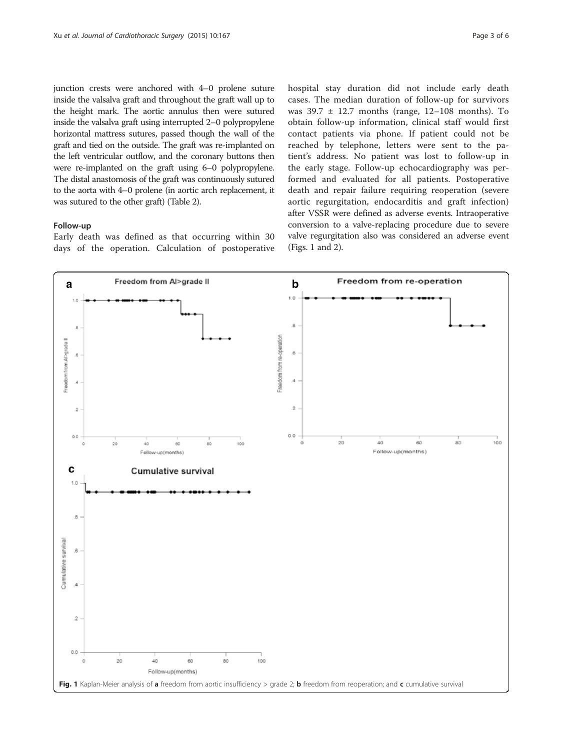junction crests were anchored with 4–0 prolene suture inside the valsalva graft and throughout the graft wall up to the height mark. The aortic annulus then were sutured inside the valsalva graft using interrupted 2–0 polypropylene horizontal mattress sutures, passed though the wall of the graft and tied on the outside. The graft was re-implanted on the left ventricular outflow, and the coronary buttons then were re-implanted on the graft using 6–0 polypropylene. The distal anastomosis of the graft was continuously sutured to the aorta with 4–0 prolene (in aortic arch replacement, it was sutured to the other graft) (Table [2](#page-1-0)).

#### Follow-up

Early death was defined as that occurring within 30 days of the operation. Calculation of postoperative hospital stay duration did not include early death cases. The median duration of follow-up for survivors was 39.7 ± 12.7 months (range, 12–108 months). To obtain follow-up information, clinical staff would first contact patients via phone. If patient could not be reached by telephone, letters were sent to the patient's address. No patient was lost to follow-up in the early stage. Follow-up echocardiography was performed and evaluated for all patients. Postoperative death and repair failure requiring reoperation (severe aortic regurgitation, endocarditis and graft infection) after VSSR were defined as adverse events. Intraoperative conversion to a valve-replacing procedure due to severe valve regurgitation also was considered an adverse event (Figs. 1 and [2](#page-3-0)).

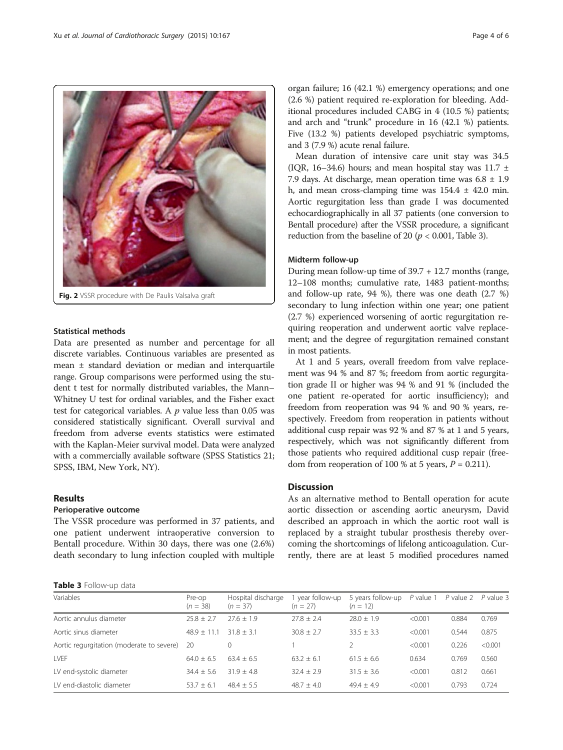<span id="page-3-0"></span>

Fig. 2 VSSR procedure with De Paulis Valsalva graft

## Statistical methods

Data are presented as number and percentage for all discrete variables. Continuous variables are presented as mean ± standard deviation or median and interquartile range. Group comparisons were performed using the student t test for normally distributed variables, the Mann– Whitney U test for ordinal variables, and the Fisher exact test for categorical variables. A  $p$  value less than 0.05 was considered statistically significant. Overall survival and freedom from adverse events statistics were estimated with the Kaplan-Meier survival model. Data were analyzed with a commercially available software (SPSS Statistics 21; SPSS, IBM, New York, NY).

#### Results

## Perioperative outcome

The VSSR procedure was performed in 37 patients, and one patient underwent intraoperative conversion to Bentall procedure. Within 30 days, there was one (2.6%) death secondary to lung infection coupled with multiple

Table 3 Follow-up data

organ failure; 16 (42.1 %) emergency operations; and one (2.6 %) patient required re-exploration for bleeding. Additional procedures included CABG in 4 (10.5 %) patients; and arch and "trunk" procedure in 16 (42.1 %) patients. Five (13.2 %) patients developed psychiatric symptoms, and 3 (7.9 %) acute renal failure.

Mean duration of intensive care unit stay was 34.5 (IQR, 16–34.6) hours; and mean hospital stay was 11.7  $\pm$ 7.9 days. At discharge, mean operation time was  $6.8 \pm 1.9$ h, and mean cross-clamping time was  $154.4 \pm 42.0$  min. Aortic regurgitation less than grade I was documented echocardiographically in all 37 patients (one conversion to Bentall procedure) after the VSSR procedure, a significant reduction from the baseline of 20 ( $p < 0.001$ , Table 3).

### Midterm follow-up

During mean follow-up time of 39.7 + 12.7 months (range, 12–108 months; cumulative rate, 1483 patient-months; and follow-up rate, 94 %), there was one death (2.7 %) secondary to lung infection within one year; one patient (2.7 %) experienced worsening of aortic regurgitation requiring reoperation and underwent aortic valve replacement; and the degree of regurgitation remained constant in most patients.

At 1 and 5 years, overall freedom from valve replacement was 94 % and 87 %; freedom from aortic regurgitation grade II or higher was 94 % and 91 % (included the one patient re-operated for aortic insufficiency); and freedom from reoperation was 94 % and 90 % years, respectively. Freedom from reoperation in patients without additional cusp repair was 92 % and 87 % at 1 and 5 years, respectively, which was not significantly different from those patients who required additional cusp repair (freedom from reoperation of 100 % at 5 years,  $P = 0.211$ ).

### **Discussion**

As an alternative method to Bentall operation for acute aortic dissection or ascending aortic aneurysm, David described an approach in which the aortic root wall is replaced by a straight tubular prosthesis thereby overcoming the shortcomings of lifelong anticoagulation. Currently, there are at least 5 modified procedures named

| Variables                                 | Pre-op<br>$(n = 38)$ | Hospital discharge<br>$(n = 37)$ | year follow-up<br>$(n = 27)$ | 5 years follow-up<br>$(n = 12)$ | P value 1 | $P$ value 2 $P$ value 3 |         |
|-------------------------------------------|----------------------|----------------------------------|------------------------------|---------------------------------|-----------|-------------------------|---------|
| Aortic annulus diameter                   | $25.8 + 2.7$         | $27.6 + 1.9$                     | $77.8 + 2.4$                 | $78.0 + 1.9$                    | < 0.001   | 0.884                   | 0.769   |
| Aortic sinus diameter                     | $48.9 + 1$<br>l 1-1  | $31.8 + 3.1$                     | $30.8 + 2.7$                 | $33.5 + 3.3$                    | < 0.001   | 0.544                   | 0.875   |
| Aortic regurgitation (moderate to severe) | -20                  |                                  |                              |                                 | < 0.001   | 0.226                   | < 0.001 |
| LVEF                                      | $64.0 + 6.5$         | $63.4 + 6.5$                     | $63.2 + 6.1$                 | $61.5 + 6.6$                    | 0.634     | 0.769                   | 0.560   |
| LV end-systolic diameter                  | $34.4 + 5.6$         | $31.9 + 4.8$                     | $32.4 + 2.9$                 | $31.5 + 3.6$                    | < 0.001   | 0.812                   | 0.661   |
| IV end-diastolic diameter                 | $53.7 + 6.1$         | $48.4 + 5.5$                     | $48.7 + 4.0$                 | $49.4 + 4.9$                    | < 0.001   | 0.793                   | 0.724   |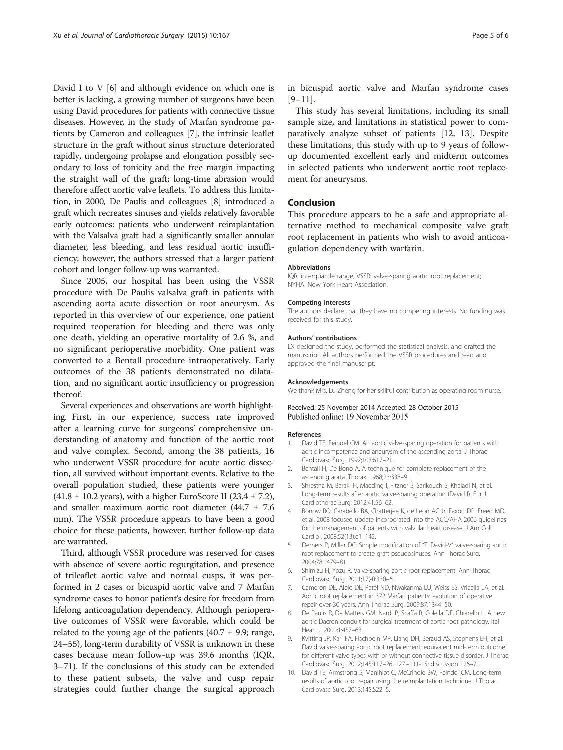<span id="page-4-0"></span>David I to V [6] and although evidence on which one is better is lacking, a growing number of surgeons have been using David procedures for patients with connective tissue diseases. However, in the study of Marfan syndrome patients by Cameron and colleagues [7], the intrinsic leaflet structure in the graft without sinus structure deteriorated rapidly, undergoing prolapse and elongation possibly secondary to loss of tonicity and the free margin impacting the straight wall of the graft; long-time abrasion would therefore affect aortic valve leaflets. To address this limitation, in 2000, De Paulis and colleagues [8] introduced a graft which recreates sinuses and yields relatively favorable early outcomes: patients who underwent reimplantation with the Valsalva graft had a significantly smaller annular diameter, less bleeding, and less residual aortic insufficiency; however, the authors stressed that a larger patient cohort and longer follow-up was warranted.

Since 2005, our hospital has been using the VSSR procedure with De Paulis valsalva graft in patients with ascending aorta acute dissection or root aneurysm. As reported in this overview of our experience, one patient required reoperation for bleeding and there was only one death, yielding an operative mortality of 2.6 %, and no significant perioperative morbidity. One patient was converted to a Bentall procedure intraoperatively. Early outcomes of the 38 patients demonstrated no dilatation, and no significant aortic insufficiency or progression thereof.

Several experiences and observations are worth highlighting. First, in our experience, success rate improved after a learning curve for surgeons' comprehensive understanding of anatomy and function of the aortic root and valve complex. Second, among the 38 patients, 16 who underwent VSSR procedure for acute aortic dissection, all survived without important events. Relative to the overall population studied, these patients were younger  $(41.8 \pm 10.2 \text{ years})$ , with a higher EuroScore II  $(23.4 \pm 7.2)$ , and smaller maximum aortic root diameter (44.7 ± 7.6 mm). The VSSR procedure appears to have been a good choice for these patients, however, further follow-up data are warranted.

Third, although VSSR procedure was reserved for cases with absence of severe aortic regurgitation, and presence of trileaflet aortic valve and normal cusps, it was performed in 2 cases or bicuspid aortic valve and 7 Marfan syndrome cases to honor patient's desire for freedom from lifelong anticoagulation dependency. Although perioperative outcomes of VSSR were favorable, which could be related to the young age of the patients (40.7  $\pm$  9.9; range, 24–55), long-term durability of VSSR is unknown in these cases because mean follow-up was 39.6 months (IQR, 3–71). If the conclusions of this study can be extended to these patient subsets, the valve and cusp repair strategies could further change the surgical approach in bicuspid aortic valve and Marfan syndrome cases  $[9-11]$  $[9-11]$ .

This study has several limitations, including its small sample size, and limitations in statistical power to comparatively analyze subset of patients [[12, 13](#page-5-0)]. Despite these limitations, this study with up to 9 years of followup documented excellent early and midterm outcomes in selected patients who underwent aortic root replacement for aneurysms.

### Conclusion

This procedure appears to be a safe and appropriate alternative method to mechanical composite valve graft root replacement in patients who wish to avoid anticoagulation dependency with warfarin.

#### Abbreviations

IQR: interquartile range; VSSR: valve-sparing aortic root replacement; NYHA: New York Heart Association.

#### Competing interests

The authors declare that they have no competing interests. No funding was received for this study.

#### Authors' contributions

LX designed the study, performed the statistical analysis, and drafted the manuscript. All authors performed the VSSR procedures and read and approved the final manuscript.

#### Acknowledgements

We thank Mrs. Lu Zheng for her skillful contribution as operating room nurse.

#### Received: 25 November 2014 Accepted: 28 October 2015 Published online: 19 November 2015

#### References

- 1. David TE, Feindel CM. An aortic valve-sparing operation for patients with aortic incompetence and aneurysm of the ascending aorta. J Thorac Cardiovasc Surg. 1992;103:617–21.
- 2. Bentall H, De Bono A. A technique for complete replacement of the ascending aorta. Thorax. 1968;23:338–9.
- 3. Shrestha M, Baraki H, Maeding I, Fitzner S, Sarikouch S, Khaladj N, et al. Long-term results after aortic valve-sparing operation (David I). Eur J Cardiothorac Surg. 2012;41:56–62.
- 4. Bonow RO, Carabello BA, Chatterjee K, de Leon AC Jr, Faxon DP, Freed MD, et al. 2008 focused update incorporated into the ACC/AHA 2006 guidelines for the management of patients with valvular heart disease. J Am Coll Cardiol. 2008;52(13):e1–142.
- 5. Demers P, Miller DC. Simple modification of "T. David-V" valve-sparing aortic root replacement to create graft pseudosinuses. Ann Thorac Surg. 2004;78:1479–81.
- 6. Shimizu H, Yozu R. Valve-sparing aortic root replacement. Ann Thorac Cardiovasc Surg. 2011;17(4):330–6.
- 7. Cameron DE, Alejo DE, Patel ND, Nwakanma LU, Weiss ES, Vricella LA, et al. Aortic root replacement in 372 Marfan patients: evolution of operative repair over 30 years. Ann Thorac Surg. 2009;87:1344–50.
- 8. De Paulis R, De Matteis GM, Nardi P, Scaffa R, Colella DF, Chiarello L. A new aortic Dacron conduit for surgical treatment of aortic root pathology. Ital Heart J. 2000;1:457–63.
- 9. Kvitting JP, Kari FA, Fischbein MP, Liang DH, Beraud AS, Stephens EH, et al. David valve-sparing aortic root replacement: equivalent mid-term outcome for different valve types with or without connective tissue disorder. J Thorac Cardiovasc Surg. 2012;145:117–26. 127.e111-15; discussion 126–7.
- 10. David TE, Armstrong S, Manlhiot C, McCrindle BW, Feindel CM. Long-term results of aortic root repair using the reimplantation technique. J Thorac Cardiovasc Surg. 2013;145:S22–5.